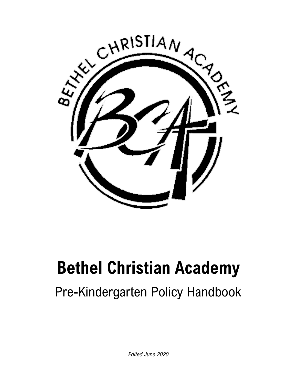

# **Bethel Christian Academy**

# Pre-Kindergarten Policy Handbook

*Edited June 2020*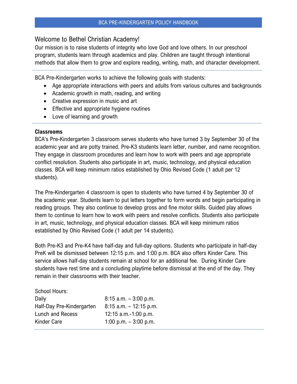# Welcome to Bethel Christian Academy!

Our mission is to raise students of integrity who love God and love others. In our preschool program, students learn through academics and play. Children are taught through intentional methods that allow them to grow and explore reading, writing, math, and character development.

BCA Pre-Kindergarten works to achieve the following goals with students:

- Age appropriate interactions with peers and adults from various cultures and backgrounds
- Academic growth in math, reading, and writing
- Creative expression in music and art
- Effective and appropriate hygiene routines
- Love of learning and growth

#### **Classrooms**

BCA's Pre-Kindergarten 3 classroom serves students who have turned 3 by September 30 of the academic year and are potty trained. Pre-K3 students learn letter, number, and name recognition. They engage in classroom procedures and learn how to work with peers and age appropriate conflict resolution. Students also participate in art, music, technology, and physical education classes. BCA will keep minimum ratios established by Ohio Revised Code (1 adult per 12 students).

The Pre-Kindergarten 4 classroom is open to students who have turned 4 by September 30 of the academic year. Students learn to put letters together to form words and begin participating in reading groups. They also continue to develop gross and fine motor skills. Guided play allows them to continue to learn how to work with peers and resolve conflicts. Students also participate in art, music, technology, and physical education classes. BCA will keep minimum ratios established by Ohio Revised Code (1 adult per 14 students).

Both Pre-K3 and Pre-K4 have half-day and full-day options. Students who participate in half-day PreK will be dismissed between 12:15 p.m. and 1:00 p.m. BCA also offers Kinder Care. This service allows half-day students remain at school for an additional fee. During Kinder Care students have rest time and a concluding playtime before dismissal at the end of the day. They remain in their classrooms with their teacher.

| School Hours:             |                           |
|---------------------------|---------------------------|
| Daily                     | $8:15$ a.m. $-3:00$ p.m.  |
| Half-Day Pre-Kindergarten | $8:15$ a.m. $-12:15$ p.m. |
| Lunch and Recess          | 12:15 $a.m.-1:00 p.m.$    |
| Kinder Care               | 1:00 p.m. $-$ 3:00 p.m.   |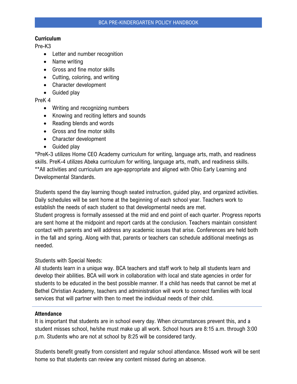#### **Curriculum**

Pre-K3

- Letter and number recognition
- Name writing
- Gross and fine motor skills
- Cutting, coloring, and writing
- Character development
- Guided play

PreK 4

- Writing and recognizing numbers
- Knowing and reciting letters and sounds
- Reading blends and words
- Gross and fine motor skills
- Character development
- Guided play

\*PreK-3 utilizes Home CEO Academy curriculum for writing, language arts, math, and readiness skills. PreK-4 utilizes Abeka curriculum for writing, language arts, math, and readiness skills. \*\*All activities and curriculum are age-appropriate and aligned with Ohio Early Learning and Developmental Standards.

Students spend the day learning though seated instruction, guided play, and organized activities. Daily schedules will be sent home at the beginning of each school year. Teachers work to establish the needs of each student so that developmental needs are met. Student progress is formally assessed at the mid and end point of each quarter. Progress reports are sent home at the midpoint and report cards at the conclusion. Teachers maintain consistent contact with parents and will address any academic issues that arise. Conferences are held both in the fall and spring. Along with that, parents or teachers can schedule additional meetings as needed.

Students with Special Needs:

All students learn in a unique way. BCA teachers and staff work to help all students learn and develop their abilities. BCA will work in collaboration with local and state agencies in order for students to be educated in the best possible manner. If a child has needs that cannot be met at Bethel Christian Academy, teachers and administration will work to connect families with local services that will partner with then to meet the individual needs of their child.

#### **Attendance**

It is important that students are in school every day. When circumstances prevent this, and a student misses school, he/she must make up all work. School hours are 8:15 a.m. through 3:00 p.m. Students who are not at school by 8:25 will be considered tardy.

Students benefit greatly from consistent and regular school attendance. Missed work will be sent home so that students can review any content missed during an absence.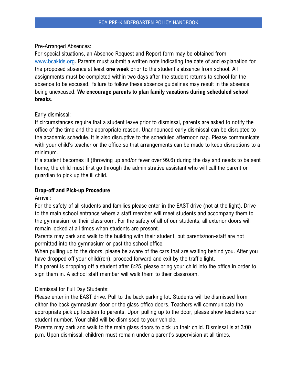#### Pre-Arranged Absences:

For special situations, an Absence Request and Report form may be obtained from [www.bcakids.org.](http://www.bcakids.org/) Parents must submit a written note indicating the date of and explanation for the proposed absence at least **one week** prior to the student's absence from school. All assignments must be completed within two days after the student returns to school for the absence to be excused. Failure to follow these absence guidelines may result in the absence being unexcused. **We encourage parents to plan family vacations during scheduled school breaks**.

#### Early dismissal:

If circumstances require that a student leave prior to dismissal, parents are asked to notify the office of the time and the appropriate reason. Unannounced early dismissal can be disrupted to the academic schedule. It is also disruptive to the scheduled afternoon nap. Please communicate with your child's teacher or the office so that arrangements can be made to keep disruptions to a minimum.

If a student becomes ill (throwing up and/or fever over 99.6) during the day and needs to be sent home, the child must first go through the administrative assistant who will call the parent or guardian to pick up the ill child.

# **Drop-off and Pick-up Procedure**

Arrival:

For the safety of all students and families please enter in the EAST drive (not at the light). Drive to the main school entrance where a staff member will meet students and accompany them to the gymnasium or their classroom. For the safety of all of our students, all exterior doors will remain locked at all times when students are present.

Parents may park and walk to the building with their student, but parents/non-staff are not permitted into the gymnasium or past the school office.

When pulling up to the doors, please be aware of the cars that are waiting behind you. After you have dropped off your child(ren), proceed forward and exit by the traffic light.

If a parent is dropping off a student after 8:25, please bring your child into the office in order to sign them in. A school staff member will walk them to their classroom.

Dismissal for Full Day Students:

Please enter in the EAST drive. Pull to the back parking lot. Students will be dismissed from either the back gymnasium door or the glass office doors. Teachers will communicate the appropriate pick up location to parents. Upon pulling up to the door, please show teachers your student number. Your child will be dismissed to your vehicle.

Parents may park and walk to the main glass doors to pick up their child. Dismissal is at 3:00 p.m. Upon dismissal, children must remain under a parent's supervision at all times.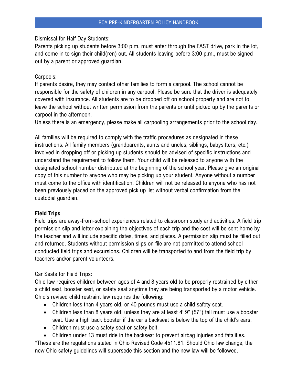Dismissal for Half Day Students:

Parents picking up students before 3:00 p.m. must enter through the EAST drive, park in the lot, and come in to sign their child(ren) out. All students leaving before 3:00 p.m., must be signed out by a parent or approved guardian.

#### Carpools:

If parents desire, they may contact other families to form a carpool. The school cannot be responsible for the safety of children in any carpool. Please be sure that the driver is adequately covered with insurance. All students are to be dropped off on school property and are not to leave the school without written permission from the parents or until picked up by the parents or carpool in the afternoon.

Unless there is an emergency, please make all carpooling arrangements prior to the school day.

All families will be required to comply with the traffic procedures as designated in these instructions. All family members (grandparents, aunts and uncles, siblings, babysitters, etc.) involved in dropping off or picking up students should be advised of specific instructions and understand the requirement to follow them. Your child will be released to anyone with the designated school number distributed at the beginning of the school year. Please give an original copy of this number to anyone who may be picking up your student. Anyone without a number must come to the office with identification. Children will not be released to anyone who has not been previously placed on the approved pick up list without verbal confirmation from the custodial guardian.

#### **Field Trips**

Field trips are away-from-school experiences related to classroom study and activities. A field trip permission slip and letter explaining the objectives of each trip and the cost will be sent home by the teacher and will include specific dates, times, and places. A permission slip must be filled out and returned. Students without permission slips on file are not permitted to attend school conducted field trips and excursions. Children will be transported to and from the field trip by teachers and/or parent volunteers.

#### Car Seats for Field Trips:

Ohio law requires children between ages of 4 and 8 years old to be properly restrained by either a child seat, booster seat, or safety seat anytime they are being transported by a motor vehicle. Ohio's revised child restraint law requires the following:

- Children less than 4 years old, or 40 pounds must use a child safety seat.
- Children less than 8 years old, unless they are at least 4' 9" (57") tall must use a booster seat. Use a high back booster if the car's backseat is below the top of the child's ears.
- Children must use a safety seat or safety belt.
- Children under 13 must ride in the backseat to prevent airbag injuries and fatalities.

\*These are the regulations stated in Ohio Revised Code 4511.81. Should Ohio law change, the new Ohio safety guidelines will supersede this section and the new law will be followed.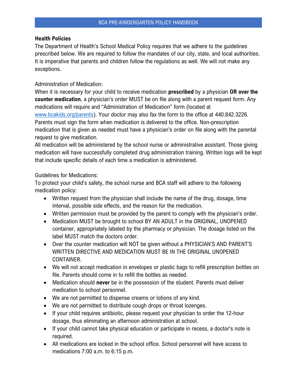#### **Health Policies**

The Department of Health's School Medical Policy requires that we adhere to the guidelines prescribed below. We are required to follow the mandates of our city, state, and local authorities. It is imperative that parents and children follow the regulations as well. We will not make any exceptions.

# Administration of Medication:

When it is necessary for your child to receive medication **prescribed** by a physician **OR over the counter medication**, a physician's order MUST be on file along with a parent request form. Any medications will require and "Administration of Medication" form (located at

[www.bcakids.org/parents\)](http://www.bcakids.org/parents). Your doctor may also fax the form to the office at 440.842.3226. Parents must sign the form when medication is delivered to the office. Non-prescription medication that is given as needed must have a physician's order on file along with the parental request to give medication.

All medication will be administered by the school nurse or administrative assistant. Those giving medication will have successfully completed drug administration training. Written logs will be kept that include specific details of each time a medication is administered.

#### Guidelines for Medications:

To protect your child's safety, the school nurse and BCA staff will adhere to the following medication policy:

- Written request from the physician shall include the name of the drug, dosage, time interval, possible side effects, and the reason for the medication.
- Written permission must be provided by the parent to comply with the physician's order.
- Medication MUST be brought to school BY AN ADULT in the ORIGINAL, UNOPENED container, appropriately labeled by the pharmacy or physician. The dosage listed on the label MUST match the doctors order.
- Over the counter medication will NOT be given without a PHYSICIAN'S AND PARENT'S WRITTEN DIRECTIVE AND MEDICATION MUST BE IN THE ORIGINAL UNOPENED CONTAINER.
- We will not accept medication in envelopes or plastic bags to refill prescription bottles on file. Parents should come in to refill the bottles as needed.
- Medication should **never** be in the possession of the student. Parents must deliver medication to school personnel.
- We are not permitted to dispense creams or lotions of any kind.
- We are not permitted to distribute cough drops or throat lozenges.
- If your child requires antibiotic, please request your physician to order the 12-hour dosage, thus eliminating an afternoon administration at school.
- If your child cannot take physical education or participate in recess, a doctor's note is required.
- All medications are locked in the school office. School personnel will have access to medications 7:00 a.m. to 6:15 p.m.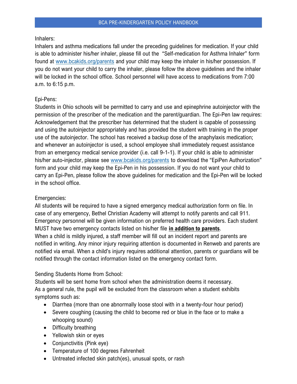#### Inhalers:

Inhalers and asthma medications fall under the preceding guidelines for medication. If your child is able to administer his/her inhaler, please fill out the "Self-medication for Asthma Inhaler" form found at [www.bcakids.org/parents](http://www.bcakids.org/parents) and your child may keep the inhaler in his/her possession. If you do not want your child to carry the inhaler, please follow the above guidelines and the inhaler will be locked in the school office. School personnel will have access to medications from 7:00 a.m. to 6:15 p.m.

# Epi-Pens:

Students in Ohio schools will be permitted to carry and use and epinephrine autoinjector with the permission of the prescriber of the medication and the parent/guardian. The Epi-Pen law requires: Acknowledgement that the prescriber has determined that the student is capable of possessing and using the autoinjector appropriately and has provided the student with training in the proper use of the autoinjector. The school has received a backup dose of the anaphylaxis medication; and whenever an autoinjector is used, a school employee shall immediately request assistance from an emergency medical service provider (i.e. call 9-1-1). If your child is able to administer his/her auto-injector, please see [www.bcakids.org/parents](http://www.bcakids.org/parents) to download the "EpiPen Authorization" form and your child may keep the Epi-Pen in his possession. If you do not want your child to carry an Epi-Pen, please follow the above guidelines for medication and the Epi-Pen will be locked in the school office.

#### Emergencies:

All students will be required to have a signed emergency medical authorization form on file. In case of any emergency, Bethel Christian Academy will attempt to notify parents and call 911. Emergency personnel will be given information on preferred health care providers. Each student MUST have two emergency contacts listed on his/her file **in addition to parents**. When a child is mildly injured, a staff member will fill out an incident report and parents are notified in writing. Any minor injury requiring attention is documented in Renweb and parents are notified via email. When a child's injury requires additional attention, parents or guardians will be notified through the contact information listed on the emergency contact form.

# Sending Students Home from School:

Students will be sent home from school when the administration deems it necessary. As a general rule, the pupil will be excluded from the classroom when a student exhibits symptoms such as:

- Diarrhea (more than one abnormally loose stool with in a twenty-four hour period)
- Severe coughing (causing the child to become red or blue in the face or to make a whooping sound)
- Difficulty breathing
- Yellowish skin or eyes
- Conjunctivitis (Pink eye)
- Temperature of 100 degrees Fahrenheit
- Untreated infected skin patch(es), unusual spots, or rash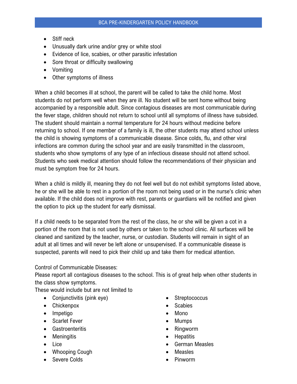- Stiff neck
- Unusually dark urine and/or grey or white stool
- Evidence of lice, scabies, or other parasitic infestation
- Sore throat or difficulty swallowing
- Vomiting
- Other symptoms of illness

When a child becomes ill at school, the parent will be called to take the child home. Most students do not perform well when they are ill. No student will be sent home without being accompanied by a responsible adult. Since contagious diseases are most communicable during the fever stage, children should not return to school until all symptoms of illness have subsided. The student should maintain a normal temperature for 24 hours without medicine before returning to school. If one member of a family is ill, the other students may attend school unless the child is showing symptoms of a communicable disease. Since colds, flu, and other viral infections are common during the school year and are easily transmitted in the classroom, students who show symptoms of any type of an infectious disease should not attend school. Students who seek medical attention should follow the recommendations of their physician and must be symptom free for 24 hours.

When a child is mildly ill, meaning they do not feel well but do not exhibit symptoms listed above, he or she will be able to rest in a portion of the room not being used or in the nurse's clinic when available. If the child does not improve with rest, parents or guardians will be notified and given the option to pick up the student for early dismissal.

If a child needs to be separated from the rest of the class, he or she will be given a cot in a portion of the room that is not used by others or taken to the school clinic. All surfaces will be cleaned and sanitized by the teacher, nurse, or custodian. Students will remain in sight of an adult at all times and will never be left alone or unsupervised. If a communicable disease is suspected, parents will need to pick their child up and take them for medical attention.

#### Control of Communicable Diseases:

Please report all contagious diseases to the school. This is of great help when other students in the class show symptoms.

These would include but are not limited to

- Conjunctivitis (pink eye)
- Chickenpox
- Impetigo
- Scarlet Fever
- Gastroenteritis
- Meningitis
- Lice
- Whooping Cough
- Severe Colds
- **Streptococcus**
- Scabies
- Mono
- Mumps
- Ringworm
- Hepatitis
- German Measles
- Measles
- Pinworm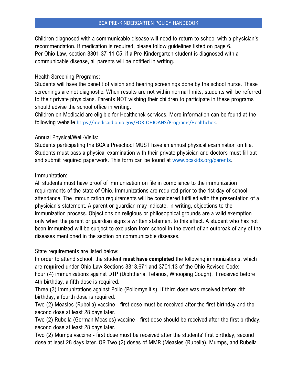Children diagnosed with a communicable disease will need to return to school with a physician's recommendation. If medication is required, please follow guidelines listed on page 6. Per Ohio Law, section 3301-37-11 C5, if a Pre-Kindergarten student is diagnosed with a communicable disease, all parents will be notified in writing.

## Health Screening Programs:

Students will have the benefit of vision and hearing screenings done by the school nurse. These screenings are not diagnostic. When results are not within normal limits, students will be referred to their private physicians. Parents NOT wishing their children to participate in these programs should advise the school office in writing.

Children on Medicaid are eligible for Healthchek services. More information can be found at the following website [https://medicaid.ohio.gov/FOR-OHIOANS/Programs/Healthchek.](https://medicaid.ohio.gov/FOR-OHIOANS/Programs/Healthchek)

#### Annual Physical/Well-Visits:

Students participating the BCA's Preschool MUST have an annual physical examination on file. Students must pass a physical examination with their private physician and doctors must fill out and submit required paperwork. This form can be found at [www.bcakids.org/parents.](http://www.bcakids.org/parents)

# Immunization:

All students must have proof of immunization on file in compliance to the immunization requirements of the state of Ohio. Immunizations are required prior to the 1st day of school attendance. The immunization requirements will be considered fulfilled with the presentation of a physician's statement. A parent or guardian may indicate, in writing, objections to the immunization process. Objections on religious or philosophical grounds are a valid exemption only when the parent or guardian signs a written statement to this effect. A student who has not been immunized will be subject to exclusion from school in the event of an outbreak of any of the diseases mentioned in the section on communicable diseases.

# State requirements are listed below:

In order to attend school, the student **must have completed** the following immunizations, which are **required** under Ohio Law Sections 3313.671 and 3701.13 of the Ohio Revised Code: Four (4) immunizations against DTP (Diphtheria, Tetanus, Whooping Cough). If received before 4th birthday, a fifth dose is required.

Three (3) immunizations against Polio (Poliomyelitis). If third dose was received before 4th birthday, a fourth dose is required.

Two (2) Measles (Rubella) vaccine - first dose must be received after the first birthday and the second dose at least 28 days later.

Two (2) Rubella (German Measles) vaccine - first dose should be received after the first birthday, second dose at least 28 days later.

Two (2) Mumps vaccine - first dose must be received after the students' first birthday, second dose at least 28 days later. OR Two (2) doses of MMR (Measles (Rubella), Mumps, and Rubella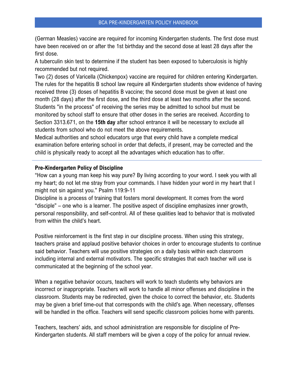(German Measles) vaccine are required for incoming Kindergarten students. The first dose must have been received on or after the 1st birthday and the second dose at least 28 days after the first dose.

A tuberculin skin test to determine if the student has been exposed to tuberculosis is highly recommended but not required.

Two (2) doses of Varicella (Chickenpox) vaccine are required for children entering Kindergarten. The rules for the hepatitis B school law require all Kindergarten students show evidence of having received three (3) doses of hepatitis B vaccine; the second dose must be given at least one month (28 days) after the first dose, and the third dose at least two months after the second. Students "in the process" of receiving the series may be admitted to school but must be monitored by school staff to ensure that other doses in the series are received. According to Section 3313.671, on the **15th day** after school entrance it will be necessary to exclude all students from school who do not meet the above requirements.

Medical authorities and school educators urge that every child have a complete medical examination before entering school in order that defects, if present, may be corrected and the child is physically ready to accept all the advantages which education has to offer.

#### **Pre-Kindergarten Policy of Discipline**

"How can a young man keep his way pure? By living according to your word. I seek you with all my heart; do not let me stray from your commands. I have hidden your word in my heart that I might not sin against you." Psalm 119:9-11

Discipline is a process of training that fosters moral development. It comes from the word "disciple" – one who is a learner. The positive aspect of discipline emphasizes inner growth, personal responsibility, and self-control. All of these qualities lead to behavior that is motivated from within the child's heart.

Positive reinforcement is the first step in our discipline process. When using this strategy, teachers praise and applaud positive behavior choices in order to encourage students to continue said behavior. Teachers will use positive strategies on a daily basis within each classroom including internal and external motivators. The specific strategies that each teacher will use is communicated at the beginning of the school year.

When a negative behavior occurs, teachers will work to teach students why behaviors are incorrect or inappropriate. Teachers will work to handle all minor offenses and discipline in the classroom. Students may be redirected, given the choice to correct the behavior, etc. Students may be given a brief time-out that corresponds with the child's age. When necessary, offenses will be handled in the office. Teachers will send specific classroom policies home with parents.

Teachers, teachers' aids, and school administration are responsible for discipline of Pre-Kindergarten students. All staff members will be given a copy of the policy for annual review.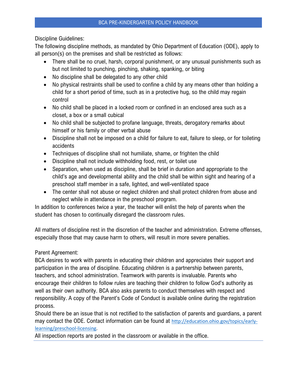Discipline Guidelines:

The following discipline methods, as mandated by Ohio Department of Education (ODE), apply to all person(s) on the premises and shall be restricted as follows:

- There shall be no cruel, harsh, corporal punishment, or any unusual punishments such as but not limited to punching, pinching, shaking, spanking, or biting
- No discipline shall be delegated to any other child
- No physical restraints shall be used to confine a child by any means other than holding a child for a short period of time, such as in a protective hug, so the child may regain control
- No child shall be placed in a locked room or confined in an enclosed area such as a closet, a box or a small cubical
- No child shall be subjected to profane language, threats, derogatory remarks about himself or his family or other verbal abuse
- Discipline shall not be imposed on a child for failure to eat, failure to sleep, or for toileting accidents
- Techniques of discipline shall not humiliate, shame, or frighten the child
- Discipline shall not include withholding food, rest, or toilet use
- Separation, when used as discipline, shall be brief in duration and appropriate to the child's age and developmental ability and the child shall be within sight and hearing of a preschool staff member in a safe, lighted, and well-ventilated space
- The center shall not abuse or neglect children and shall protect children from abuse and neglect while in attendance in the preschool program.

In addition to conferences twice a year, the teacher will enlist the help of parents when the student has chosen to continually disregard the classroom rules.

All matters of discipline rest in the discretion of the teacher and administration. Extreme offenses, especially those that may cause harm to others, will result in more severe penalties.

Parent Agreement:

BCA desires to work with parents in educating their children and appreciates their support and participation in the area of discipline. Educating children is a partnership between parents, teachers, and school administration. Teamwork with parents is invaluable. Parents who encourage their children to follow rules are teaching their children to follow God's authority as well as their own authority. BCA also asks parents to conduct themselves with respect and responsibility. A copy of the Parent's Code of Conduct is available online during the registration process.

Should there be an issue that is not rectified to the satisfaction of parents and guardians, a parent may contact the ODE. Contact information can be found at [http://education.ohio.gov/topics/early](http://education.ohio.gov/topics/early-learning/preschool-licensing)[learning/preschool-licensing.](http://education.ohio.gov/topics/early-learning/preschool-licensing)

All inspection reports are posted in the classroom or available in the office.